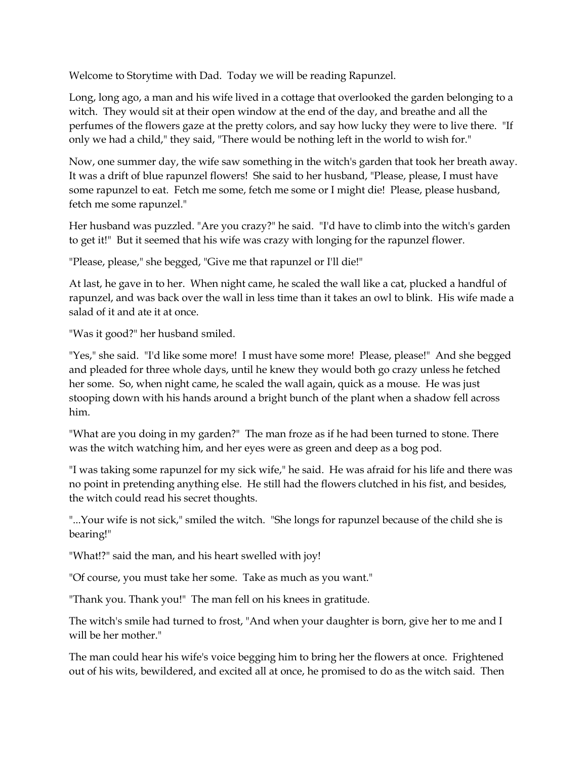Welcome to Storytime with Dad. Today we will be reading Rapunzel.

Long, long ago, a man and his wife lived in a cottage that overlooked the garden belonging to a witch. They would sit at their open window at the end of the day, and breathe and all the perfumes of the flowers gaze at the pretty colors, and say how lucky they were to live there. "If only we had a child," they said, "There would be nothing left in the world to wish for."

Now, one summer day, the wife saw something in the witch's garden that took her breath away. It was a drift of blue rapunzel flowers! She said to her husband, "Please, please, I must have some rapunzel to eat. Fetch me some, fetch me some or I might die! Please, please husband, fetch me some rapunzel."

Her husband was puzzled. "Are you crazy?" he said. "I'd have to climb into the witch's garden to get it!" But it seemed that his wife was crazy with longing for the rapunzel flower.

"Please, please," she begged, "Give me that rapunzel or I'll die!"

At last, he gave in to her. When night came, he scaled the wall like a cat, plucked a handful of rapunzel, and was back over the wall in less time than it takes an owl to blink. His wife made a salad of it and ate it at once.

"Was it good?" her husband smiled.

"Yes," she said. "I'd like some more! I must have some more! Please, please!" And she begged and pleaded for three whole days, until he knew they would both go crazy unless he fetched her some. So, when night came, he scaled the wall again, quick as a mouse. He was just stooping down with his hands around a bright bunch of the plant when a shadow fell across him.

"What are you doing in my garden?" The man froze as if he had been turned to stone. There was the witch watching him, and her eyes were as green and deep as a bog pod.

"I was taking some rapunzel for my sick wife," he said. He was afraid for his life and there was no point in pretending anything else. He still had the flowers clutched in his fist, and besides, the witch could read his secret thoughts.

"...Your wife is not sick," smiled the witch. "She longs for rapunzel because of the child she is bearing!"

"What!?" said the man, and his heart swelled with joy!

"Of course, you must take her some. Take as much as you want."

"Thank you. Thank you!" The man fell on his knees in gratitude.

The witch's smile had turned to frost, "And when your daughter is born, give her to me and I will be her mother."

The man could hear his wife's voice begging him to bring her the flowers at once. Frightened out of his wits, bewildered, and excited all at once, he promised to do as the witch said. Then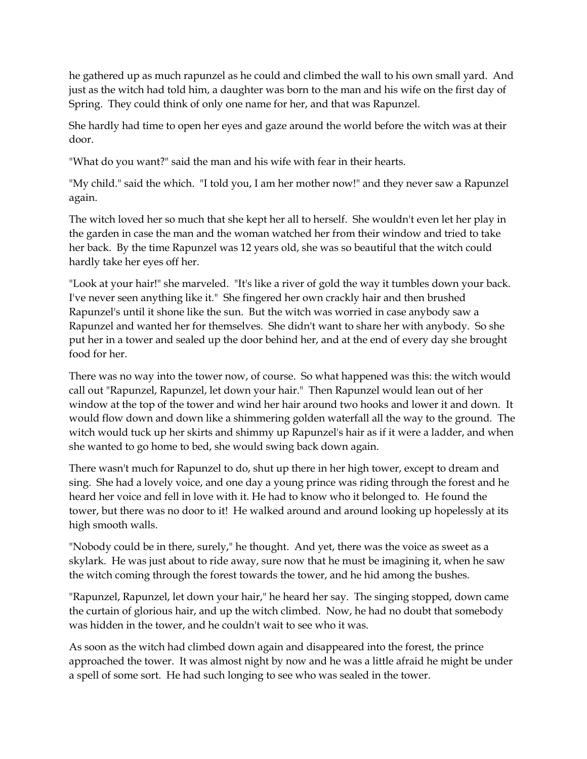he gathered up as much rapunzel as he could and climbed the wall to his own small yard. And just as the witch had told him, a daughter was born to the man and his wife on the first day of Spring. They could think of only one name for her, and that was Rapunzel.

She hardly had time to open her eyes and gaze around the world before the witch was at their door.

"What do you want?" said the man and his wife with fear in their hearts.

"My child." said the which. "I told you, I am her mother now!" and they never saw a Rapunzel again.

The witch loved her so much that she kept her all to herself. She wouldn't even let her play in the garden in case the man and the woman watched her from their window and tried to take her back. By the time Rapunzel was 12 years old, she was so beautiful that the witch could hardly take her eyes off her.

"Look at your hair!" she marveled. "It's like a river of gold the way it tumbles down your back. I've never seen anything like it." She fingered her own crackly hair and then brushed Rapunzel's until it shone like the sun. But the witch was worried in case anybody saw a Rapunzel and wanted her for themselves. She didn't want to share her with anybody. So she put her in a tower and sealed up the door behind her, and at the end of every day she brought food for her.

There was no way into the tower now, of course. So what happened was this: the witch would call out "Rapunzel, Rapunzel, let down your hair." Then Rapunzel would lean out of her window at the top of the tower and wind her hair around two hooks and lower it and down. It would flow down and down like a shimmering golden waterfall all the way to the ground. The witch would tuck up her skirts and shimmy up Rapunzel's hair as if it were a ladder, and when she wanted to go home to bed, she would swing back down again.

There wasn't much for Rapunzel to do, shut up there in her high tower, except to dream and sing. She had a lovely voice, and one day a young prince was riding through the forest and he heard her voice and fell in love with it. He had to know who it belonged to. He found the tower, but there was no door to it! He walked around and around looking up hopelessly at its high smooth walls.

"Nobody could be in there, surely," he thought. And yet, there was the voice as sweet as a skylark. He was just about to ride away, sure now that he must be imagining it, when he saw the witch coming through the forest towards the tower, and he hid among the bushes.

"Rapunzel, Rapunzel, let down your hair," he heard her say. The singing stopped, down came the curtain of glorious hair, and up the witch climbed. Now, he had no doubt that somebody was hidden in the tower, and he couldn't wait to see who it was.

As soon as the witch had climbed down again and disappeared into the forest, the prince approached the tower. It was almost night by now and he was a little afraid he might be under a spell of some sort. He had such longing to see who was sealed in the tower.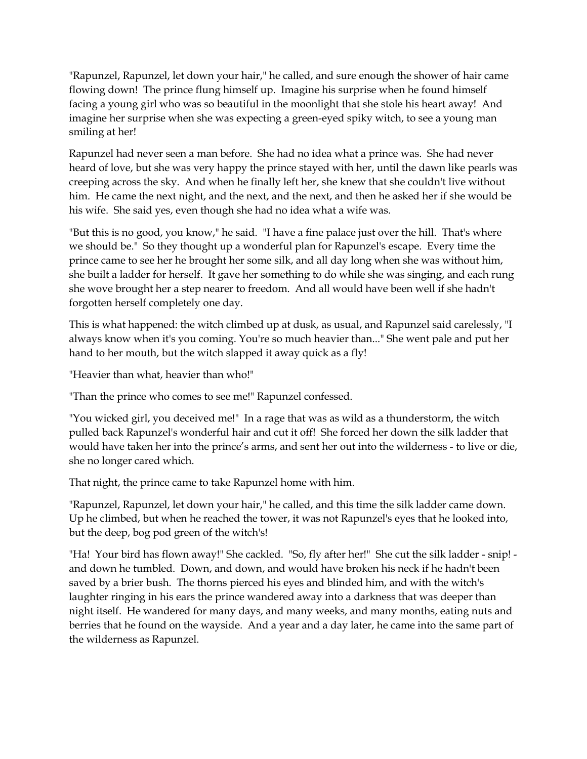"Rapunzel, Rapunzel, let down your hair," he called, and sure enough the shower of hair came flowing down! The prince flung himself up. Imagine his surprise when he found himself facing a young girl who was so beautiful in the moonlight that she stole his heart away! And imagine her surprise when she was expecting a green-eyed spiky witch, to see a young man smiling at her!

Rapunzel had never seen a man before. She had no idea what a prince was. She had never heard of love, but she was very happy the prince stayed with her, until the dawn like pearls was creeping across the sky. And when he finally left her, she knew that she couldn't live without him. He came the next night, and the next, and the next, and then he asked her if she would be his wife. She said yes, even though she had no idea what a wife was.

"But this is no good, you know," he said. "I have a fine palace just over the hill. That's where we should be." So they thought up a wonderful plan for Rapunzel's escape. Every time the prince came to see her he brought her some silk, and all day long when she was without him, she built a ladder for herself. It gave her something to do while she was singing, and each rung she wove brought her a step nearer to freedom. And all would have been well if she hadn't forgotten herself completely one day.

This is what happened: the witch climbed up at dusk, as usual, and Rapunzel said carelessly, "I always know when it's you coming. You're so much heavier than..." She went pale and put her hand to her mouth, but the witch slapped it away quick as a fly!

"Heavier than what, heavier than who!"

"Than the prince who comes to see me!" Rapunzel confessed.

"You wicked girl, you deceived me!" In a rage that was as wild as a thunderstorm, the witch pulled back Rapunzel's wonderful hair and cut it off! She forced her down the silk ladder that would have taken her into the prince's arms, and sent her out into the wilderness - to live or die, she no longer cared which.

That night, the prince came to take Rapunzel home with him.

"Rapunzel, Rapunzel, let down your hair," he called, and this time the silk ladder came down. Up he climbed, but when he reached the tower, it was not Rapunzel's eyes that he looked into, but the deep, bog pod green of the witch's!

"Ha! Your bird has flown away!" She cackled. "So, fly after her!" She cut the silk ladder - snip! and down he tumbled. Down, and down, and would have broken his neck if he hadn't been saved by a brier bush. The thorns pierced his eyes and blinded him, and with the witch's laughter ringing in his ears the prince wandered away into a darkness that was deeper than night itself. He wandered for many days, and many weeks, and many months, eating nuts and berries that he found on the wayside. And a year and a day later, he came into the same part of the wilderness as Rapunzel.